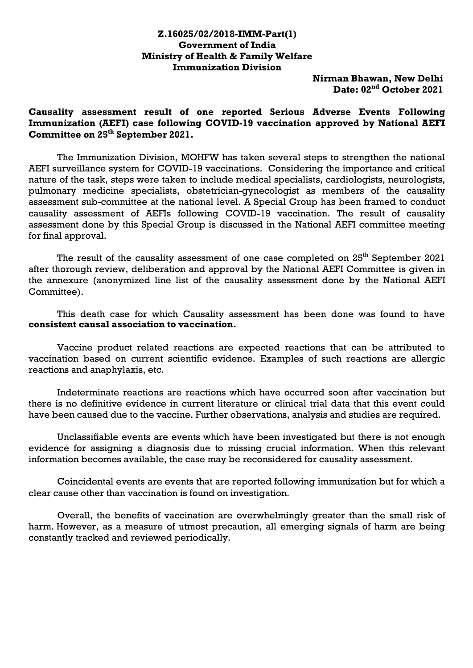## **Z.16025/02/2018-IMM-Part(1) Government of India Ministry of Health & Family Welfare Immunization Division**

**Nirman Bhawan, New Delhi Date: 02nd October 2021**

## **Causality assessment result of one reported Serious Adverse Events Following Immunization (AEFI) case following COVID-19 vaccination approved by National AEFI Committee on 25th September 2021.**

The Immunization Division, MOHFW has taken several steps to strengthen the national AEFI surveillance system for COVID-19 vaccinations. Considering the importance and critical nature of the task, steps were taken to include medical specialists, cardiologists, neurologists, pulmonary medicine specialists, obstetrician-gynecologist as members of the causality assessment sub-committee at the national level. A Special Group has been framed to conduct causality assessment of AEFIs following COVID-19 vaccination. The result of causality assessment done by this Special Group is discussed in the National AEFI committee meeting for final approval.

The result of the causality assessment of one case completed on 25<sup>th</sup> September 2021 after thorough review, deliberation and approval by the National AEFI Committee is given in the annexure (anonymized line list of the causality assessment done by the National AEFI Committee).

This death case for which Causality assessment has been done was found to have **consistent causal association to vaccination.**

Vaccine product related reactions are expected reactions that can be attributed to vaccination based on current scientific evidence. Examples of such reactions are allergic reactions and anaphylaxis, etc.

Indeterminate reactions are reactions which have occurred soon after vaccination but there is no definitive evidence in current literature or clinical trial data that this event could have been caused due to the vaccine. Further observations, analysis and studies are required.

Unclassifiable events are events which have been investigated but there is not enough evidence for assigning a diagnosis due to missing crucial information. When this relevant information becomes available, the case may be reconsidered for causality assessment.

Coincidental events are events that are reported following immunization but for which a clear cause other than vaccination is found on investigation.

Overall, the benefits of vaccination are overwhelmingly greater than the small risk of harm. However, as a measure of utmost precaution, all emerging signals of harm are being constantly tracked and reviewed periodically.